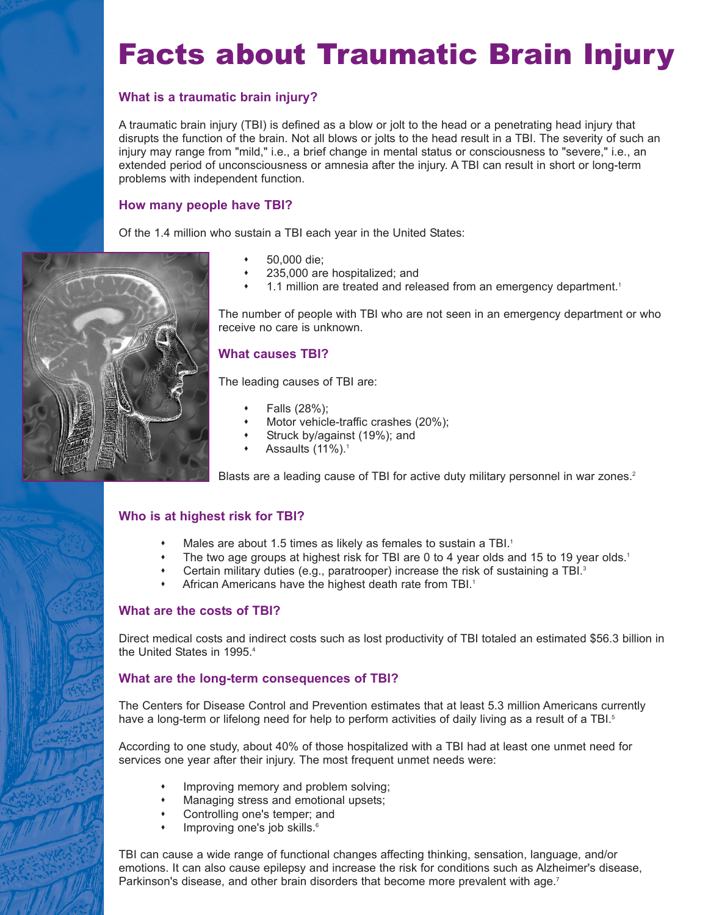# Facts about Traumatic Brain Injury

### **What is a traumatic brain injury?**

A traumatic brain injury (TBI) is defined as a blow or jolt to the head or a penetrating head injury that disrupts the function of the brain. Not all blows or jolts to the head result in a TBI. The severity of such an injury may range from "mild," i.e., a brief change in mental status or consciousness to "severe," i.e., an extended period of unconsciousness or amnesia after the injury. A TBI can result in short or long-term problems with independent function.

#### **How many people have TBI?**

Of the 1.4 million who sustain a TBI each year in the United States:

- 50,000 die;
- 235,000 are hospitalized; and
- 1.1 million are treated and released from an emergency department.<sup>1</sup>

The number of people with TBI who are not seen in an emergency department or who receive no care is unknown.

#### **What causes TBI?**

The leading causes of TBI are:

- Falls (28%);
- Motor vehicle-traffic crashes (20%);
- Struck by/against (19%); and
- Assaults (11%).<sup>1</sup>

Blasts are a leading cause of TBI for active duty military personnel in war zones.<sup>2</sup>

#### **Who is at highest risk for TBI?**

- Males are about 1.5 times as likely as females to sustain a TBI.<sup>1</sup>
- \* The two age groups at highest risk for TBI are 0 to 4 year olds and 15 to 19 year olds.<sup>1</sup>
- Certain military duties (e.g., paratrooper) increase the risk of sustaining a TBI.<sup>3</sup>
- African Americans have the highest death rate from TBI.<sup>1</sup>

#### **What are the costs of TBI?**

Direct medical costs and indirect costs such as lost productivity of TBI totaled an estimated \$56.3 billion in the United States in 1995.<sup>4</sup>

#### **What are the long-term consequences of TBI?**

The Centers for Disease Control and Prevention estimates that at least 5.3 million Americans currently have a long-term or lifelong need for help to perform activities of daily living as a result of a TBI.<sup>5</sup>

According to one study, about 40% of those hospitalized with a TBI had at least one unmet need for services one year after their injury. The most frequent unmet needs were:

- Improving memory and problem solving;
- Managing stress and emotional upsets;
- Controlling one's temper; and
- Improving one's job skills.<sup>6</sup>

TBI can cause a wide range of functional changes affecting thinking, sensation, language, and/or emotions. It can also cause epilepsy and increase the risk for conditions such as Alzheimer's disease, Parkinson's disease, and other brain disorders that become more prevalent with age.<sup>7</sup>